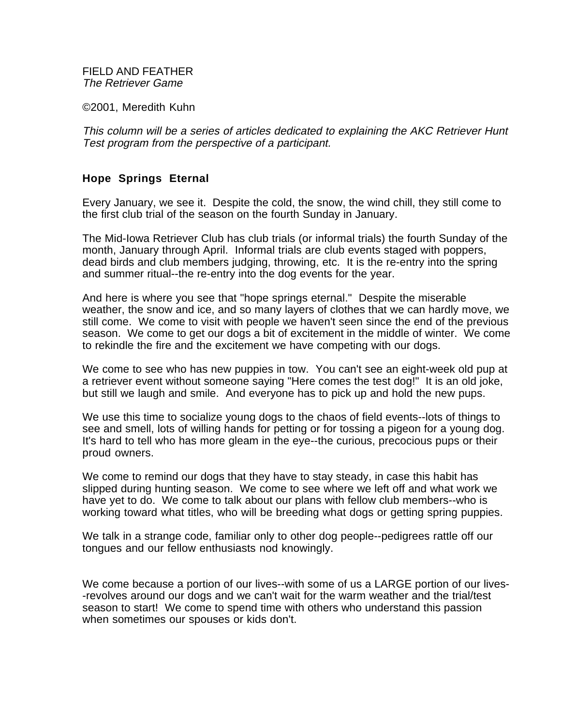FIELD AND FEATHER The Retriever Game

©2001, Meredith Kuhn

This column will be a series of articles dedicated to explaining the AKC Retriever Hunt Test program from the perspective of a participant.

## **Hope Springs Eternal**

Every January, we see it. Despite the cold, the snow, the wind chill, they still come to the first club trial of the season on the fourth Sunday in January.

The Mid-Iowa Retriever Club has club trials (or informal trials) the fourth Sunday of the month, January through April. Informal trials are club events staged with poppers, dead birds and club members judging, throwing, etc. It is the re-entry into the spring and summer ritual--the re-entry into the dog events for the year.

And here is where you see that "hope springs eternal." Despite the miserable weather, the snow and ice, and so many layers of clothes that we can hardly move, we still come. We come to visit with people we haven't seen since the end of the previous season. We come to get our dogs a bit of excitement in the middle of winter. We come to rekindle the fire and the excitement we have competing with our dogs.

We come to see who has new puppies in tow. You can't see an eight-week old pup at a retriever event without someone saying "Here comes the test dog!" It is an old joke, but still we laugh and smile. And everyone has to pick up and hold the new pups.

We use this time to socialize young dogs to the chaos of field events--lots of things to see and smell, lots of willing hands for petting or for tossing a pigeon for a young dog. It's hard to tell who has more gleam in the eye--the curious, precocious pups or their proud owners.

We come to remind our dogs that they have to stay steady, in case this habit has slipped during hunting season. We come to see where we left off and what work we have yet to do. We come to talk about our plans with fellow club members--who is working toward what titles, who will be breeding what dogs or getting spring puppies.

We talk in a strange code, familiar only to other dog people--pedigrees rattle off our tongues and our fellow enthusiasts nod knowingly.

We come because a portion of our lives--with some of us a LARGE portion of our lives- -revolves around our dogs and we can't wait for the warm weather and the trial/test season to start! We come to spend time with others who understand this passion when sometimes our spouses or kids don't.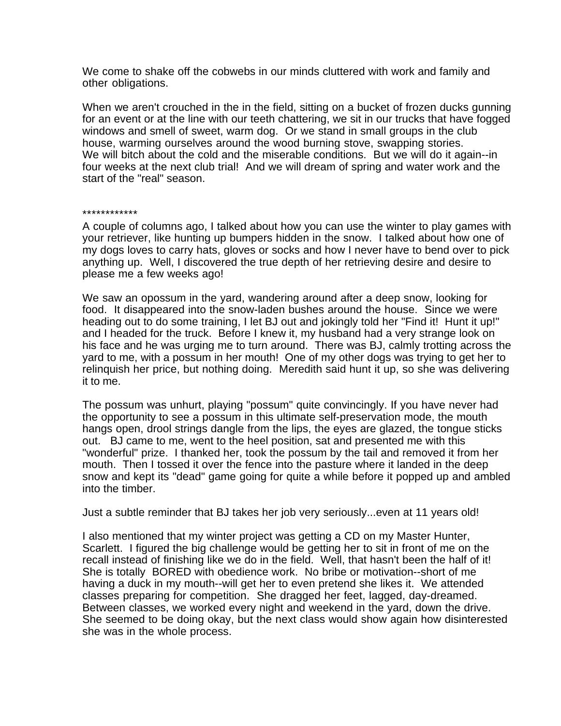We come to shake off the cobwebs in our minds cluttered with work and family and other obligations.

When we aren't crouched in the in the field, sitting on a bucket of frozen ducks gunning for an event or at the line with our teeth chattering, we sit in our trucks that have fogged windows and smell of sweet, warm dog. Or we stand in small groups in the club house, warming ourselves around the wood burning stove, swapping stories. We will bitch about the cold and the miserable conditions. But we will do it again--in four weeks at the next club trial! And we will dream of spring and water work and the start of the "real" season.

## \*\*\*\*\*\*\*\*\*\*\*\*

A couple of columns ago, I talked about how you can use the winter to play games with your retriever, like hunting up bumpers hidden in the snow. I talked about how one of my dogs loves to carry hats, gloves or socks and how I never have to bend over to pick anything up. Well, I discovered the true depth of her retrieving desire and desire to please me a few weeks ago!

We saw an opossum in the yard, wandering around after a deep snow, looking for food. It disappeared into the snow-laden bushes around the house. Since we were heading out to do some training, I let BJ out and jokingly told her "Find it! Hunt it up!" and I headed for the truck. Before I knew it, my husband had a very strange look on his face and he was urging me to turn around. There was BJ, calmly trotting across the yard to me, with a possum in her mouth! One of my other dogs was trying to get her to relinquish her price, but nothing doing. Meredith said hunt it up, so she was delivering it to me.

The possum was unhurt, playing "possum" quite convincingly. If you have never had the opportunity to see a possum in this ultimate self-preservation mode, the mouth hangs open, drool strings dangle from the lips, the eyes are glazed, the tongue sticks out. BJ came to me, went to the heel position, sat and presented me with this "wonderful" prize. I thanked her, took the possum by the tail and removed it from her mouth. Then I tossed it over the fence into the pasture where it landed in the deep snow and kept its "dead" game going for quite a while before it popped up and ambled into the timber.

Just a subtle reminder that BJ takes her job very seriously...even at 11 years old!

I also mentioned that my winter project was getting a CD on my Master Hunter, Scarlett. I figured the big challenge would be getting her to sit in front of me on the recall instead of finishing like we do in the field. Well, that hasn't been the half of it! She is totally BORED with obedience work. No bribe or motivation--short of me having a duck in my mouth--will get her to even pretend she likes it. We attended classes preparing for competition. She dragged her feet, lagged, day-dreamed. Between classes, we worked every night and weekend in the yard, down the drive. She seemed to be doing okay, but the next class would show again how disinterested she was in the whole process.